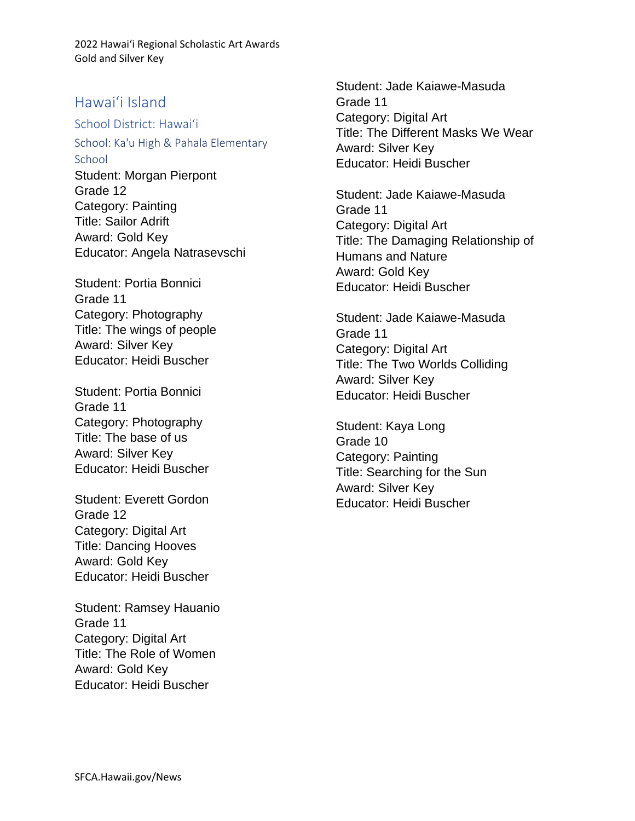## Hawaiʻi Island

### School District: Hawaiʻi

School: Ka'u High & Pahala Elementary **School** Student: Morgan Pierpont Grade 12 Category: Painting Title: Sailor Adrift Award: Gold Key Educator: Angela Natrasevschi

Student: Portia Bonnici Grade 11 Category: Photography Title: The wings of people Award: Silver Key Educator: Heidi Buscher

Student: Portia Bonnici Grade 11 Category: Photography Title: The base of us Award: Silver Key Educator: Heidi Buscher

Student: Everett Gordon Grade 12 Category: Digital Art Title: Dancing Hooves Award: Gold Key Educator: Heidi Buscher

Student: Ramsey Hauanio Grade 11 Category: Digital Art Title: The Role of Women Award: Gold Key Educator: Heidi Buscher

Student: Jade Kaiawe-Masuda Grade 11 Category: Digital Art Title: The Different Masks We Wear Award: Silver Key Educator: Heidi Buscher

Student: Jade Kaiawe-Masuda Grade 11 Category: Digital Art Title: The Damaging Relationship of Humans and Nature Award: Gold Key Educator: Heidi Buscher

Student: Jade Kaiawe-Masuda Grade 11 Category: Digital Art Title: The Two Worlds Colliding Award: Silver Key Educator: Heidi Buscher

Student: Kaya Long Grade 10 Category: Painting Title: Searching for the Sun Award: Silver Key Educator: Heidi Buscher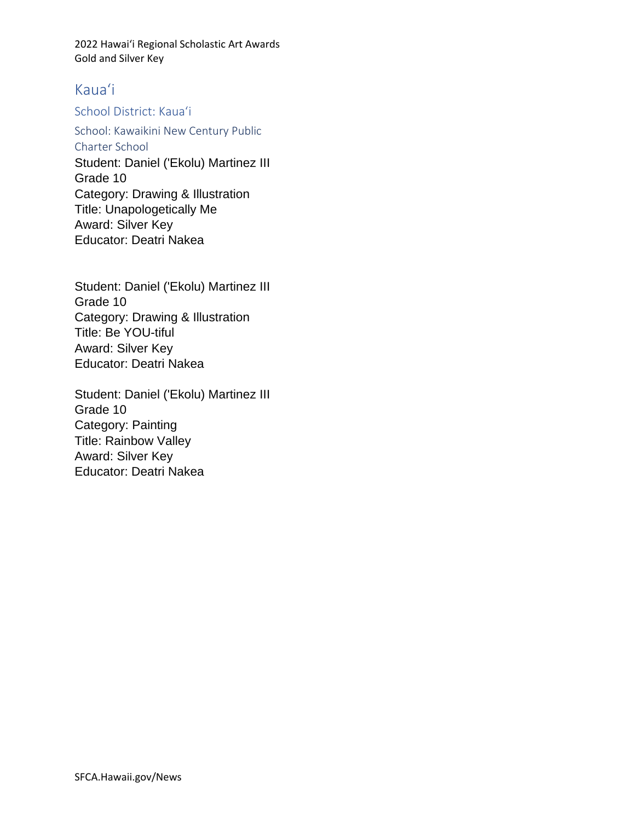# Kauaʻi

## School District: Kauaʻi

School: Kawaikini New Century Public Charter School

Student: Daniel ('Ekolu) Martinez III Grade 10 Category: Drawing & Illustration Title: Unapologetically Me Award: Silver Key Educator: Deatri Nakea

Student: Daniel ('Ekolu) Martinez III Grade 10 Category: Drawing & Illustration Title: Be YOU-tiful Award: Silver Key Educator: Deatri Nakea

Student: Daniel ('Ekolu) Martinez III Grade 10 Category: Painting Title: Rainbow Valley Award: Silver Key Educator: Deatri Nakea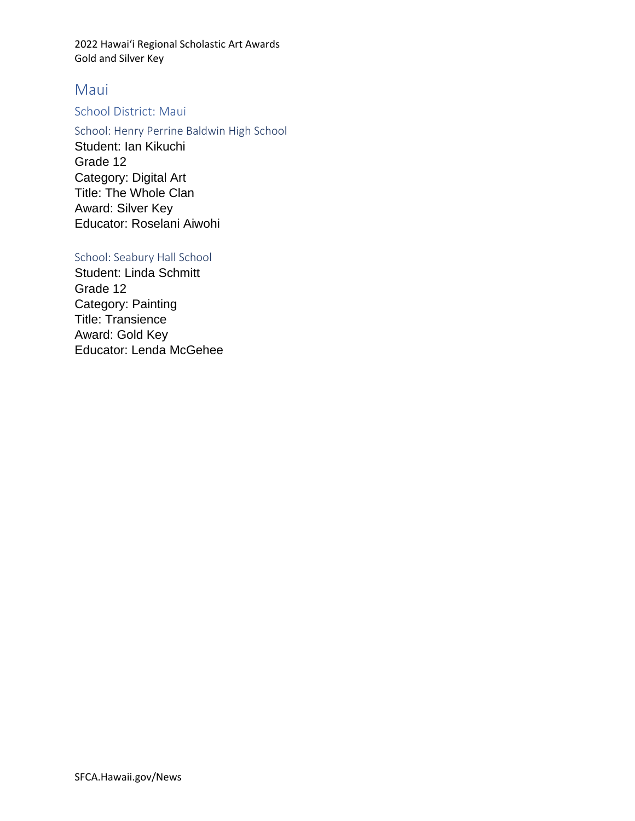# Maui

# School District: Maui

School: Henry Perrine Baldwin High School Student: Ian Kikuchi Grade 12 Category: Digital Art Title: The Whole Clan Award: Silver Key Educator: Roselani Aiwohi

## School: Seabury Hall School

Student: Linda Schmitt Grade 12 Category: Painting Title: Transience Award: Gold Key Educator: Lenda McGehee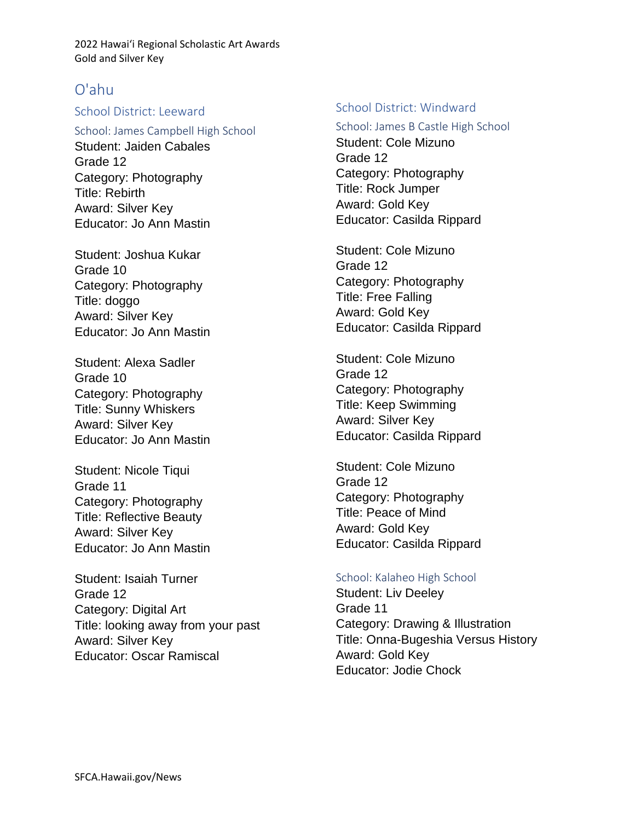# O'ahu

## School District: Leeward

School: James Campbell High School Student: Jaiden Cabales Grade 12 Category: Photography Title: Rebirth Award: Silver Key Educator: Jo Ann Mastin

Student: Joshua Kukar Grade 10 Category: Photography Title: doggo Award: Silver Key Educator: Jo Ann Mastin

Student: Alexa Sadler Grade 10 Category: Photography Title: Sunny Whiskers Award: Silver Key Educator: Jo Ann Mastin

Student: Nicole Tiqui Grade 11 Category: Photography Title: Reflective Beauty Award: Silver Key Educator: Jo Ann Mastin

Student: Isaiah Turner Grade 12 Category: Digital Art Title: looking away from your past Award: Silver Key Educator: Oscar Ramiscal

### School District: Windward

School: James B Castle High School Student: Cole Mizuno Grade 12 Category: Photography Title: Rock Jumper Award: Gold Key Educator: Casilda Rippard

Student: Cole Mizuno Grade 12 Category: Photography Title: Free Falling Award: Gold Key Educator: Casilda Rippard

Student: Cole Mizuno Grade 12 Category: Photography Title: Keep Swimming Award: Silver Key Educator: Casilda Rippard

Student: Cole Mizuno Grade 12 Category: Photography Title: Peace of Mind Award: Gold Key Educator: Casilda Rippard

### School: Kalaheo High School

Student: Liv Deeley Grade 11 Category: Drawing & Illustration Title: Onna-Bugeshia Versus History Award: Gold Key Educator: Jodie Chock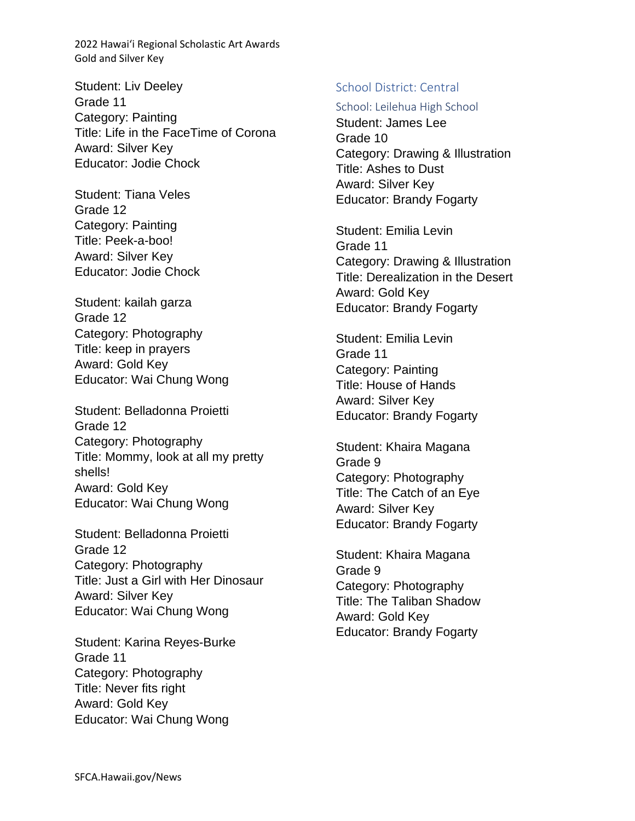Student: Liv Deeley Grade 11 Category: Painting Title: Life in the FaceTime of Corona Award: Silver Key Educator: Jodie Chock

Student: Tiana Veles Grade 12 Category: Painting Title: Peek-a-boo! Award: Silver Key Educator: Jodie Chock

Student: kailah garza Grade 12 Category: Photography Title: keep in prayers Award: Gold Key Educator: Wai Chung Wong

Student: Belladonna Proietti Grade 12 Category: Photography Title: Mommy, look at all my pretty shells! Award: Gold Key Educator: Wai Chung Wong

Student: Belladonna Proietti Grade 12 Category: Photography Title: Just a Girl with Her Dinosaur Award: Silver Key Educator: Wai Chung Wong

Student: Karina Reyes-Burke Grade 11 Category: Photography Title: Never fits right Award: Gold Key Educator: Wai Chung Wong

## School District: Central

### School: Leilehua High School

Student: James Lee Grade 10 Category: Drawing & Illustration Title: Ashes to Dust Award: Silver Key Educator: Brandy Fogarty

Student: Emilia Levin Grade 11 Category: Drawing & Illustration Title: Derealization in the Desert Award: Gold Key Educator: Brandy Fogarty

Student: Emilia Levin Grade 11 Category: Painting Title: House of Hands Award: Silver Key Educator: Brandy Fogarty

Student: Khaira Magana Grade 9 Category: Photography Title: The Catch of an Eye Award: Silver Key Educator: Brandy Fogarty

Student: Khaira Magana Grade 9 Category: Photography Title: The Taliban Shadow Award: Gold Key Educator: Brandy Fogarty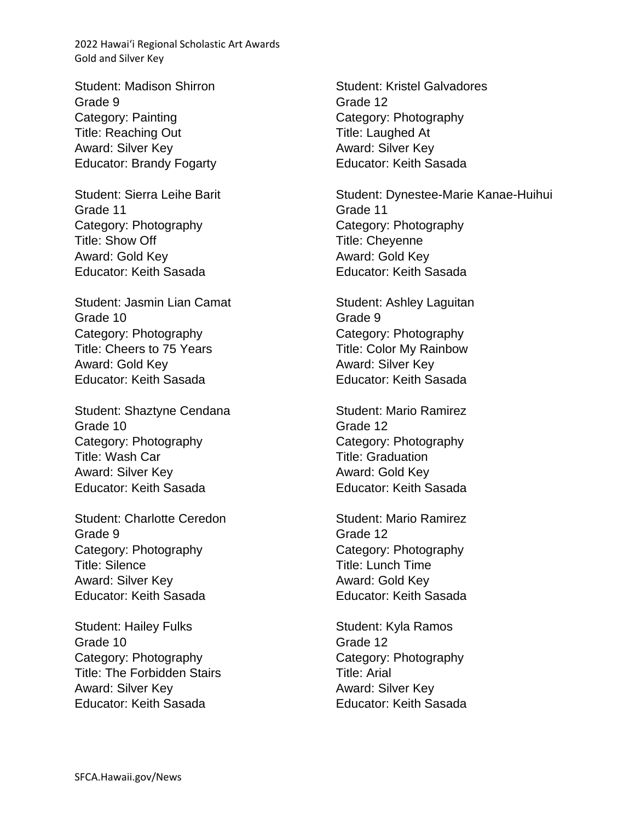Student: Madison Shirron Grade 9 Category: Painting Title: Reaching Out Award: Silver Key Educator: Brandy Fogarty

Student: Sierra Leihe Barit Grade 11 Category: Photography Title: Show Off Award: Gold Key Educator: Keith Sasada

Student: Jasmin Lian Camat Grade 10 Category: Photography Title: Cheers to 75 Years Award: Gold Key Educator: Keith Sasada

Student: Shaztyne Cendana Grade 10 Category: Photography Title: Wash Car Award: Silver Key Educator: Keith Sasada

Student: Charlotte Ceredon Grade 9 Category: Photography Title: Silence Award: Silver Key Educator: Keith Sasada

Student: Hailey Fulks Grade 10 Category: Photography Title: The Forbidden Stairs Award: Silver Key Educator: Keith Sasada

Student: Kristel Galvadores Grade 12 Category: Photography Title: Laughed At Award: Silver Key Educator: Keith Sasada

Student: Dynestee-Marie Kanae-Huihui Grade 11 Category: Photography Title: Cheyenne Award: Gold Key Educator: Keith Sasada

Student: Ashley Laguitan Grade 9 Category: Photography Title: Color My Rainbow Award: Silver Key Educator: Keith Sasada

Student: Mario Ramirez Grade 12 Category: Photography Title: Graduation Award: Gold Key Educator: Keith Sasada

Student: Mario Ramirez Grade 12 Category: Photography Title: Lunch Time Award: Gold Key Educator: Keith Sasada

Student: Kyla Ramos Grade 12 Category: Photography Title: Arial Award: Silver Key Educator: Keith Sasada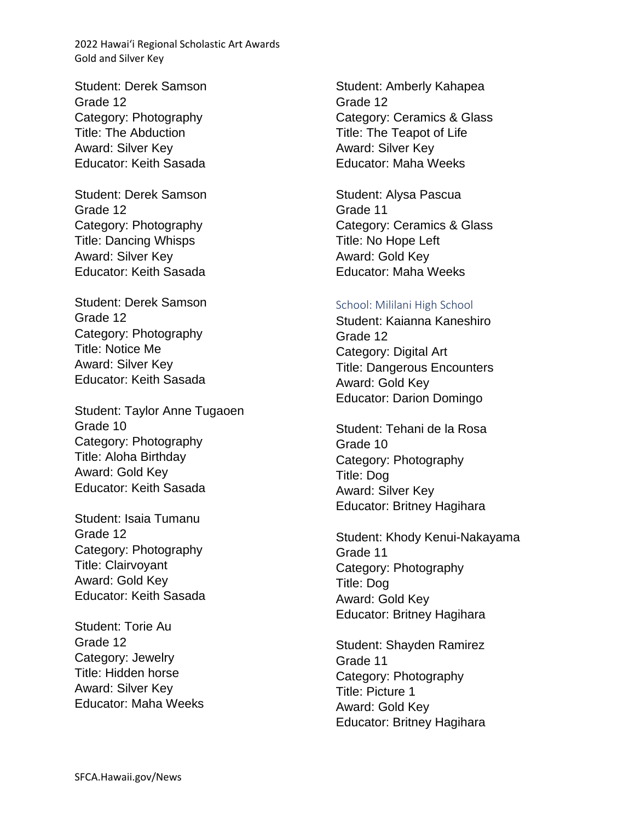Student: Derek Samson Grade 12 Category: Photography Title: The Abduction Award: Silver Key Educator: Keith Sasada

Student: Derek Samson Grade 12 Category: Photography Title: Dancing Whisps Award: Silver Key Educator: Keith Sasada

Student: Derek Samson Grade 12 Category: Photography Title: Notice Me Award: Silver Key Educator: Keith Sasada

Student: Taylor Anne Tugaoen Grade 10 Category: Photography Title: Aloha Birthday Award: Gold Key Educator: Keith Sasada

Student: Isaia Tumanu Grade 12 Category: Photography Title: Clairvoyant Award: Gold Key Educator: Keith Sasada

Student: Torie Au Grade 12 Category: Jewelry Title: Hidden horse Award: Silver Key Educator: Maha Weeks

Student: Amberly Kahapea Grade 12 Category: Ceramics & Glass Title: The Teapot of Life Award: Silver Key Educator: Maha Weeks

Student: Alysa Pascua Grade 11 Category: Ceramics & Glass Title: No Hope Left Award: Gold Key Educator: Maha Weeks

#### School: Mililani High School

Student: Kaianna Kaneshiro Grade 12 Category: Digital Art Title: Dangerous Encounters Award: Gold Key Educator: Darion Domingo

Student: Tehani de la Rosa Grade 10 Category: Photography Title: Dog Award: Silver Key Educator: Britney Hagihara

Student: Khody Kenui-Nakayama Grade 11 Category: Photography Title: Dog Award: Gold Key Educator: Britney Hagihara

Student: Shayden Ramirez Grade 11 Category: Photography Title: Picture 1 Award: Gold Key Educator: Britney Hagihara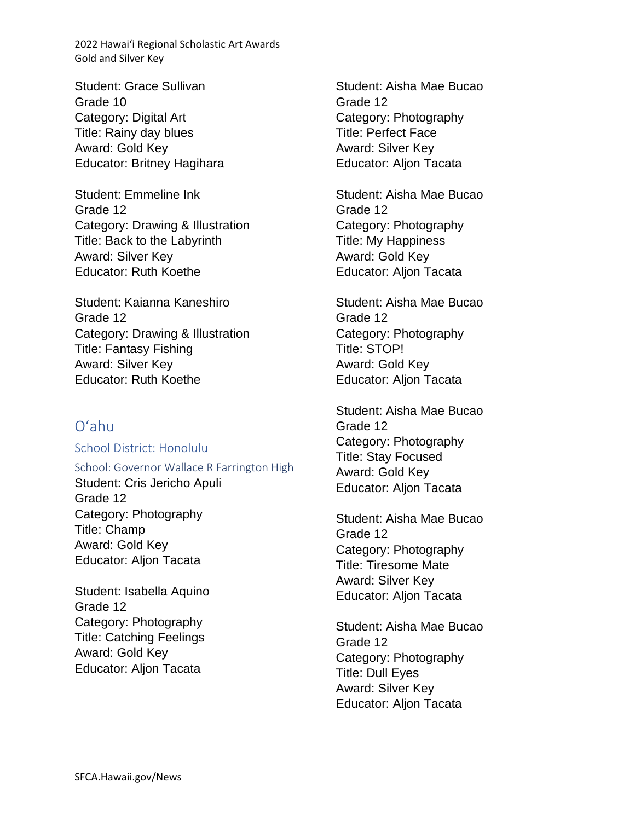Student: Grace Sullivan Grade 10 Category: Digital Art Title: Rainy day blues Award: Gold Key Educator: Britney Hagihara

Student: Emmeline Ink Grade 12 Category: Drawing & Illustration Title: Back to the Labyrinth Award: Silver Key Educator: Ruth Koethe

Student: Kaianna Kaneshiro Grade 12 Category: Drawing & Illustration Title: Fantasy Fishing Award: Silver Key Educator: Ruth Koethe

# Oʻahu

School District: Honolulu

School: Governor Wallace R Farrington High Student: Cris Jericho Apuli Grade 12 Category: Photography Title: Champ Award: Gold Key Educator: Aljon Tacata

Student: Isabella Aquino Grade 12 Category: Photography Title: Catching Feelings Award: Gold Key Educator: Aljon Tacata

Student: Aisha Mae Bucao Grade 12 Category: Photography Title: Perfect Face Award: Silver Key Educator: Aljon Tacata

Student: Aisha Mae Bucao Grade 12 Category: Photography Title: My Happiness Award: Gold Key Educator: Aljon Tacata

Student: Aisha Mae Bucao Grade 12 Category: Photography Title: STOP! Award: Gold Key Educator: Aljon Tacata

Student: Aisha Mae Bucao Grade 12 Category: Photography Title: Stay Focused Award: Gold Key Educator: Aljon Tacata

Student: Aisha Mae Bucao Grade 12 Category: Photography Title: Tiresome Mate Award: Silver Key Educator: Aljon Tacata

Student: Aisha Mae Bucao Grade 12 Category: Photography Title: Dull Eyes Award: Silver Key Educator: Aljon Tacata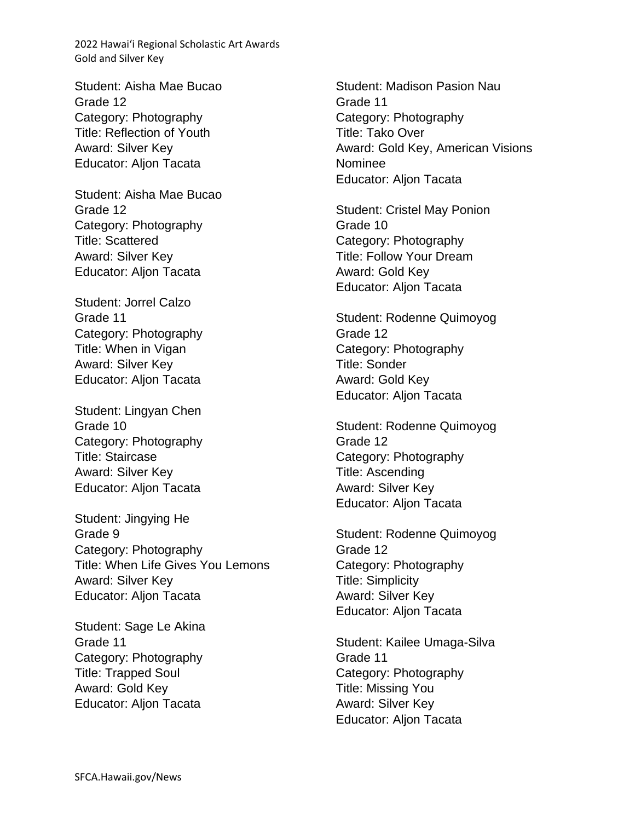Student: Aisha Mae Bucao Grade 12 Category: Photography Title: Reflection of Youth Award: Silver Key Educator: Aljon Tacata

Student: Aisha Mae Bucao Grade 12 Category: Photography Title: Scattered Award: Silver Key Educator: Aljon Tacata

Student: Jorrel Calzo Grade 11 Category: Photography Title: When in Vigan Award: Silver Key Educator: Aljon Tacata

Student: Lingyan Chen Grade 10 Category: Photography Title: Staircase Award: Silver Key Educator: Aljon Tacata

Student: Jingying He Grade 9 Category: Photography Title: When Life Gives You Lemons Award: Silver Key Educator: Aljon Tacata

Student: Sage Le Akina Grade 11 Category: Photography Title: Trapped Soul Award: Gold Key Educator: Aljon Tacata

Student: Madison Pasion Nau Grade 11 Category: Photography Title: Tako Over Award: Gold Key, American Visions Nominee Educator: Aljon Tacata

Student: Cristel May Ponion Grade 10 Category: Photography Title: Follow Your Dream Award: Gold Key Educator: Aljon Tacata

Student: Rodenne Quimoyog Grade 12 Category: Photography Title: Sonder Award: Gold Key Educator: Aljon Tacata

Student: Rodenne Quimoyog Grade 12 Category: Photography Title: Ascending Award: Silver Key Educator: Aljon Tacata

Student: Rodenne Quimoyog Grade 12 Category: Photography Title: Simplicity Award: Silver Key Educator: Aljon Tacata

Student: Kailee Umaga-Silva Grade 11 Category: Photography Title: Missing You Award: Silver Key Educator: Aljon Tacata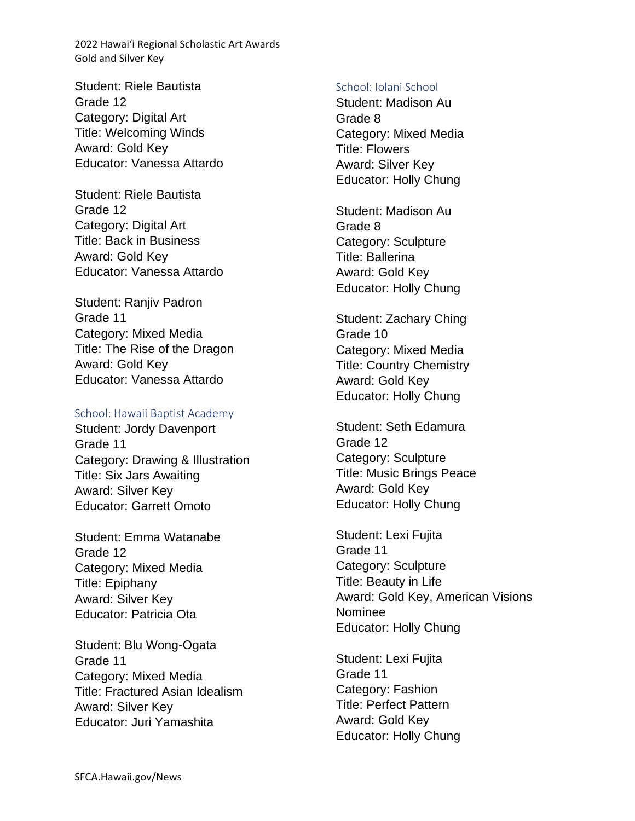Student: Riele Bautista Grade 12 Category: Digital Art Title: Welcoming Winds Award: Gold Key Educator: Vanessa Attardo

Student: Riele Bautista Grade 12 Category: Digital Art Title: Back in Business Award: Gold Key Educator: Vanessa Attardo

Student: Ranjiv Padron Grade 11 Category: Mixed Media Title: The Rise of the Dragon Award: Gold Key Educator: Vanessa Attardo

### School: Hawaii Baptist Academy

Student: Jordy Davenport Grade 11 Category: Drawing & Illustration Title: Six Jars Awaiting Award: Silver Key Educator: Garrett Omoto

Student: Emma Watanabe Grade 12 Category: Mixed Media Title: Epiphany Award: Silver Key Educator: Patricia Ota

Student: Blu Wong-Ogata Grade 11 Category: Mixed Media Title: Fractured Asian Idealism Award: Silver Key Educator: Juri Yamashita

#### School: Iolani School

Student: Madison Au Grade 8 Category: Mixed Media Title: Flowers Award: Silver Key Educator: Holly Chung

Student: Madison Au Grade 8 Category: Sculpture Title: Ballerina Award: Gold Key Educator: Holly Chung

Student: Zachary Ching Grade 10 Category: Mixed Media Title: Country Chemistry Award: Gold Key Educator: Holly Chung

Student: Seth Edamura Grade 12 Category: Sculpture Title: Music Brings Peace Award: Gold Key Educator: Holly Chung

Student: Lexi Fujita Grade 11 Category: Sculpture Title: Beauty in Life Award: Gold Key, American Visions Nominee Educator: Holly Chung

Student: Lexi Fujita Grade 11 Category: Fashion Title: Perfect Pattern Award: Gold Key Educator: Holly Chung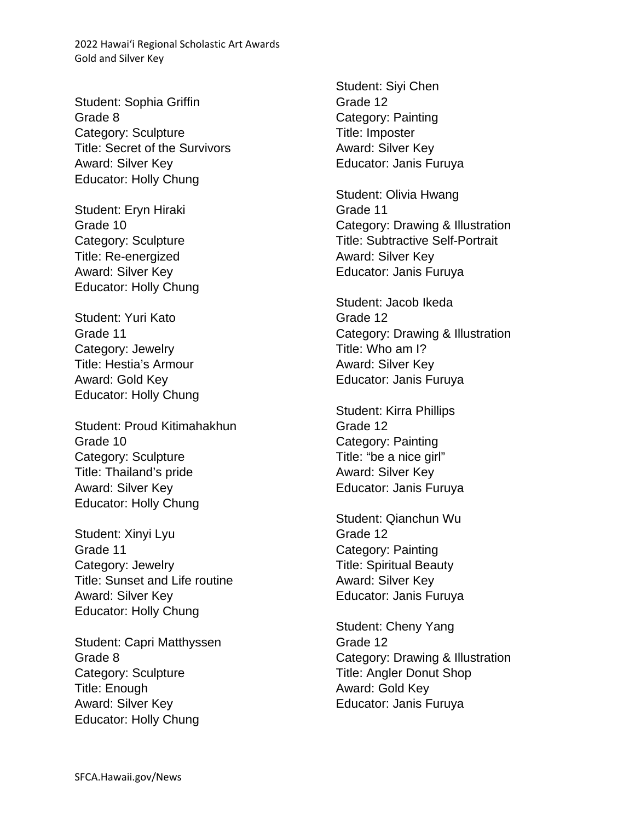Student: Sophia Griffin Grade 8 Category: Sculpture Title: Secret of the Survivors Award: Silver Key Educator: Holly Chung

Student: Eryn Hiraki Grade 10 Category: Sculpture Title: Re-energized Award: Silver Key Educator: Holly Chung

Student: Yuri Kato Grade 11 Category: Jewelry Title: Hestia's Armour Award: Gold Key Educator: Holly Chung

Student: Proud Kitimahakhun Grade 10 Category: Sculpture Title: Thailand's pride Award: Silver Key Educator: Holly Chung

Student: Xinyi Lyu Grade 11 Category: Jewelry Title: Sunset and Life routine Award: Silver Key Educator: Holly Chung

Student: Capri Matthyssen Grade 8 Category: Sculpture Title: Enough Award: Silver Key Educator: Holly Chung

Student: Siyi Chen Grade 12 Category: Painting Title: Imposter Award: Silver Key Educator: Janis Furuya

Student: Olivia Hwang Grade 11 Category: Drawing & Illustration Title: Subtractive Self-Portrait Award: Silver Key Educator: Janis Furuya

Student: Jacob Ikeda Grade 12 Category: Drawing & Illustration Title: Who am I? Award: Silver Key Educator: Janis Furuya

Student: Kirra Phillips Grade 12 Category: Painting Title: "be a nice girl" Award: Silver Key Educator: Janis Furuya

Student: Qianchun Wu Grade 12 Category: Painting Title: Spiritual Beauty Award: Silver Key Educator: Janis Furuya

Student: Cheny Yang Grade 12 Category: Drawing & Illustration Title: Angler Donut Shop Award: Gold Key Educator: Janis Furuya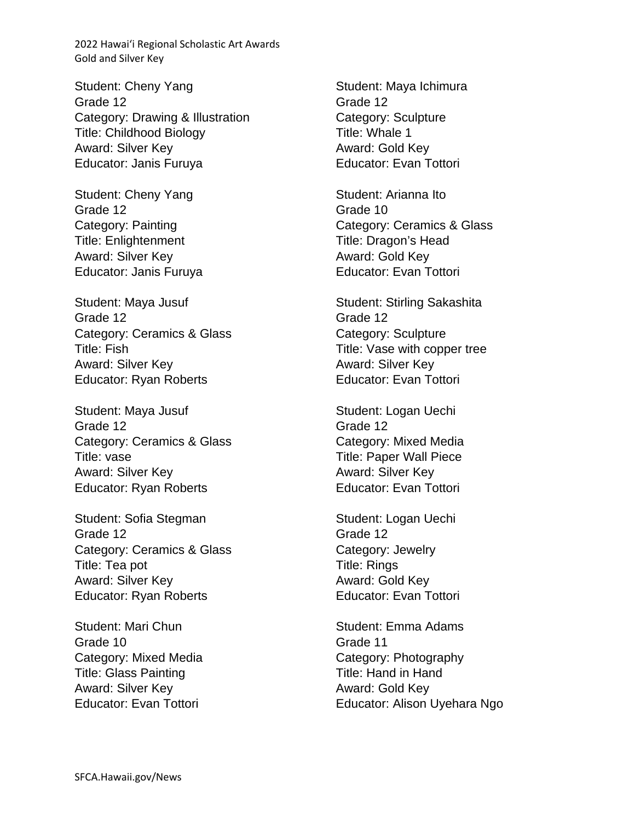Student: Cheny Yang Grade 12 Category: Drawing & Illustration Title: Childhood Biology Award: Silver Key Educator: Janis Furuya

Student: Cheny Yang Grade 12 Category: Painting Title: Enlightenment Award: Silver Key Educator: Janis Furuya

Student: Maya Jusuf Grade 12 Category: Ceramics & Glass Title: Fish Award: Silver Key Educator: Ryan Roberts

Student: Maya Jusuf Grade 12 Category: Ceramics & Glass Title: vase Award: Silver Key Educator: Ryan Roberts

Student: Sofia Stegman Grade 12 Category: Ceramics & Glass Title: Tea pot Award: Silver Key Educator: Ryan Roberts

Student: Mari Chun Grade 10 Category: Mixed Media Title: Glass Painting Award: Silver Key Educator: Evan Tottori

Student: Maya Ichimura Grade 12 Category: Sculpture Title: Whale 1 Award: Gold Key Educator: Evan Tottori

Student: Arianna Ito Grade 10 Category: Ceramics & Glass Title: Dragon's Head Award: Gold Key Educator: Evan Tottori

Student: Stirling Sakashita Grade 12 Category: Sculpture Title: Vase with copper tree Award: Silver Key Educator: Evan Tottori

Student: Logan Uechi Grade 12 Category: Mixed Media Title: Paper Wall Piece Award: Silver Key Educator: Evan Tottori

Student: Logan Uechi Grade 12 Category: Jewelry Title: Rings Award: Gold Key Educator: Evan Tottori

Student: Emma Adams Grade 11 Category: Photography Title: Hand in Hand Award: Gold Key Educator: Alison Uyehara Ngo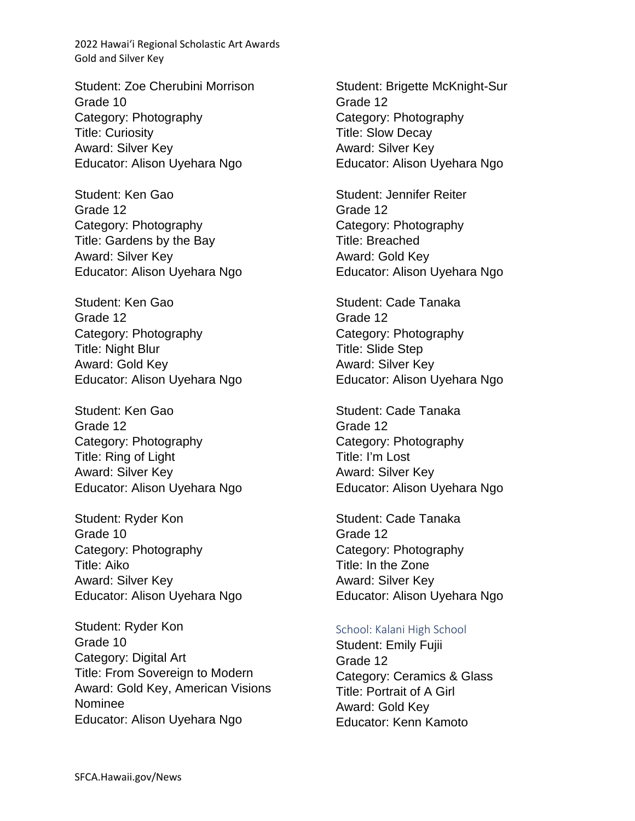Student: Zoe Cherubini Morrison Grade 10 Category: Photography Title: Curiosity Award: Silver Key Educator: Alison Uyehara Ngo

Student: Ken Gao Grade 12 Category: Photography Title: Gardens by the Bay Award: Silver Key Educator: Alison Uyehara Ngo

Student: Ken Gao Grade 12 Category: Photography Title: Night Blur Award: Gold Key Educator: Alison Uyehara Ngo

Student: Ken Gao Grade 12 Category: Photography Title: Ring of Light Award: Silver Key Educator: Alison Uyehara Ngo

Student: Ryder Kon Grade 10 Category: Photography Title: Aiko Award: Silver Key Educator: Alison Uyehara Ngo

Student: Ryder Kon Grade 10 Category: Digital Art Title: From Sovereign to Modern Award: Gold Key, American Visions Nominee Educator: Alison Uyehara Ngo

Student: Brigette McKnight-Sur Grade 12 Category: Photography Title: Slow Decay Award: Silver Key Educator: Alison Uyehara Ngo

Student: Jennifer Reiter Grade 12 Category: Photography Title: Breached Award: Gold Key Educator: Alison Uyehara Ngo

Student: Cade Tanaka Grade 12 Category: Photography Title: Slide Step Award: Silver Key Educator: Alison Uyehara Ngo

Student: Cade Tanaka Grade 12 Category: Photography Title: I'm Lost Award: Silver Key Educator: Alison Uyehara Ngo

Student: Cade Tanaka Grade 12 Category: Photography Title: In the Zone Award: Silver Key Educator: Alison Uyehara Ngo

### School: Kalani High School

Student: Emily Fujii Grade 12 Category: Ceramics & Glass Title: Portrait of A Girl Award: Gold Key Educator: Kenn Kamoto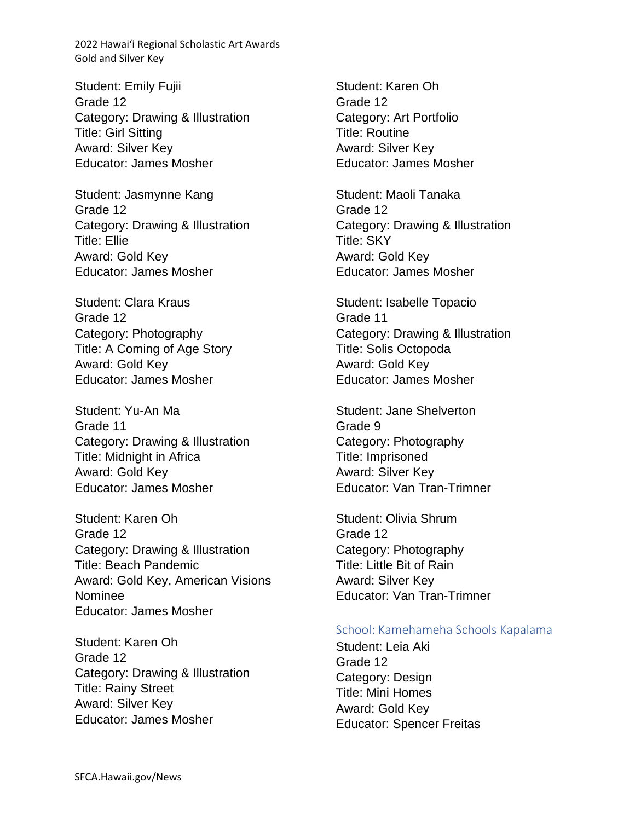Student: Emily Fujii Grade 12 Category: Drawing & Illustration Title: Girl Sitting Award: Silver Key Educator: James Mosher

Student: Jasmynne Kang Grade 12 Category: Drawing & Illustration Title: Ellie Award: Gold Key Educator: James Mosher

Student: Clara Kraus Grade 12 Category: Photography Title: A Coming of Age Story Award: Gold Key Educator: James Mosher

Student: Yu-An Ma Grade 11 Category: Drawing & Illustration Title: Midnight in Africa Award: Gold Key Educator: James Mosher

Student: Karen Oh Grade 12 Category: Drawing & Illustration Title: Beach Pandemic Award: Gold Key, American Visions Nominee Educator: James Mosher

Student: Karen Oh Grade 12 Category: Drawing & Illustration Title: Rainy Street Award: Silver Key Educator: James Mosher

Student: Karen Oh Grade 12 Category: Art Portfolio Title: Routine Award: Silver Key Educator: James Mosher

Student: Maoli Tanaka Grade 12 Category: Drawing & Illustration Title: SKY Award: Gold Key Educator: James Mosher

Student: Isabelle Topacio Grade 11 Category: Drawing & Illustration Title: Solis Octopoda Award: Gold Key Educator: James Mosher

Student: Jane Shelverton Grade 9 Category: Photography Title: Imprisoned Award: Silver Key Educator: Van Tran-Trimner

Student: Olivia Shrum Grade 12 Category: Photography Title: Little Bit of Rain Award: Silver Key Educator: Van Tran-Trimner

### School: Kamehameha Schools Kapalama

Student: Leia Aki Grade 12 Category: Design Title: Mini Homes Award: Gold Key Educator: Spencer Freitas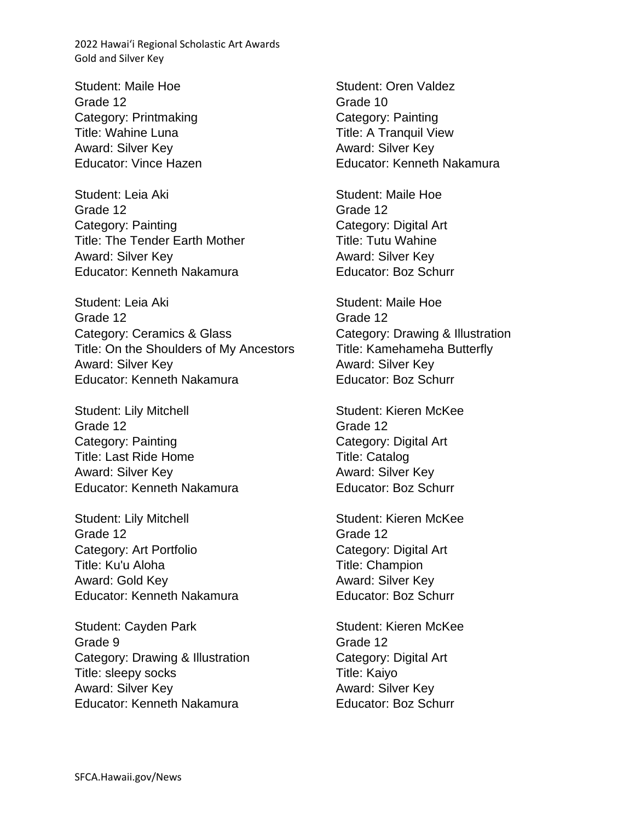Student: Maile Hoe Grade 12 Category: Printmaking Title: Wahine Luna Award: Silver Key Educator: Vince Hazen

Student: Leia Aki Grade 12 Category: Painting Title: The Tender Earth Mother Award: Silver Key Educator: Kenneth Nakamura

Student: Leia Aki Grade 12 Category: Ceramics & Glass Title: On the Shoulders of My Ancestors Award: Silver Key Educator: Kenneth Nakamura

Student: Lily Mitchell Grade 12 Category: Painting Title: Last Ride Home Award: Silver Key Educator: Kenneth Nakamura

Student: Lily Mitchell Grade 12 Category: Art Portfolio Title: Ku'u Aloha Award: Gold Key Educator: Kenneth Nakamura

Student: Cayden Park Grade 9 Category: Drawing & Illustration Title: sleepy socks Award: Silver Key Educator: Kenneth Nakamura

Student: Oren Valdez Grade 10 Category: Painting Title: A Tranquil View Award: Silver Key Educator: Kenneth Nakamura

Student: Maile Hoe Grade 12 Category: Digital Art Title: Tutu Wahine Award: Silver Key Educator: Boz Schurr

Student: Maile Hoe Grade 12 Category: Drawing & Illustration Title: Kamehameha Butterfly Award: Silver Key Educator: Boz Schurr

Student: Kieren McKee Grade 12 Category: Digital Art Title: Catalog Award: Silver Key Educator: Boz Schurr

Student: Kieren McKee Grade 12 Category: Digital Art Title: Champion Award: Silver Key Educator: Boz Schurr

Student: Kieren McKee Grade 12 Category: Digital Art Title: Kaiyo Award: Silver Key Educator: Boz Schurr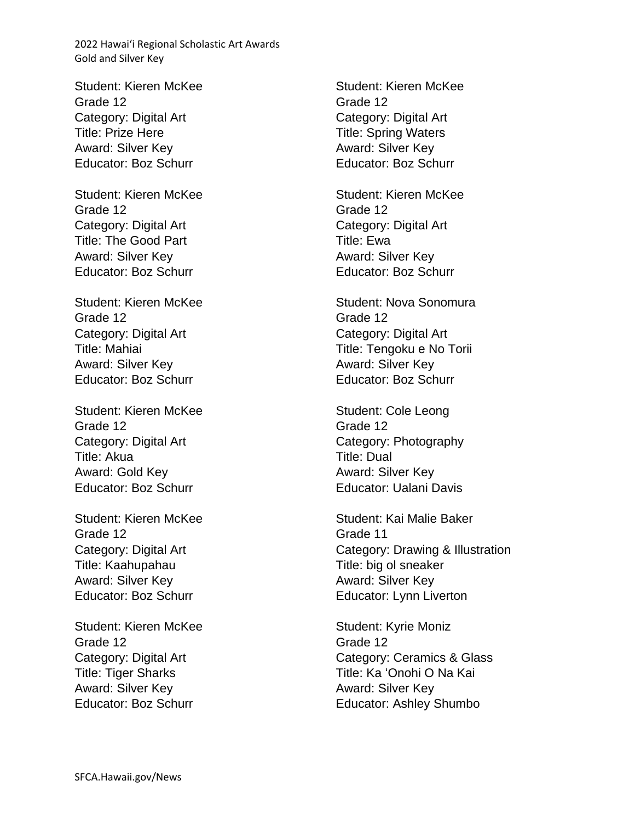Student: Kieren McKee Grade 12 Category: Digital Art Title: Prize Here Award: Silver Key Educator: Boz Schurr

Student: Kieren McKee Grade 12 Category: Digital Art Title: The Good Part Award: Silver Key Educator: Boz Schurr

Student: Kieren McKee Grade 12 Category: Digital Art Title: Mahiai Award: Silver Key Educator: Boz Schurr

Student: Kieren McKee Grade 12 Category: Digital Art Title: Akua Award: Gold Key Educator: Boz Schurr

Student: Kieren McKee Grade 12 Category: Digital Art Title: Kaahupahau Award: Silver Key Educator: Boz Schurr

Student: Kieren McKee Grade 12 Category: Digital Art Title: Tiger Sharks Award: Silver Key Educator: Boz Schurr

Student: Kieren McKee Grade 12 Category: Digital Art Title: Spring Waters Award: Silver Key Educator: Boz Schurr

Student: Kieren McKee Grade 12 Category: Digital Art Title: Ewa Award: Silver Key Educator: Boz Schurr

Student: Nova Sonomura Grade 12 Category: Digital Art Title: Tengoku e No Torii Award: Silver Key Educator: Boz Schurr

Student: Cole Leong Grade 12 Category: Photography Title: Dual Award: Silver Key Educator: Ualani Davis

Student: Kai Malie Baker Grade 11 Category: Drawing & Illustration Title: big ol sneaker Award: Silver Key Educator: Lynn Liverton

Student: Kyrie Moniz Grade 12 Category: Ceramics & Glass Title: Ka ʻOnohi O Na Kai Award: Silver Key Educator: Ashley Shumbo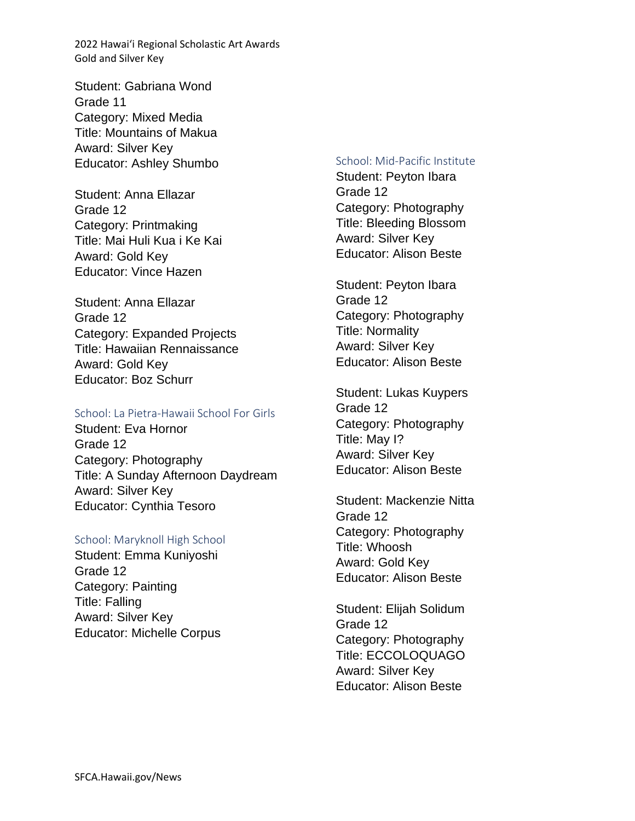Student: Gabriana Wond Grade 11 Category: Mixed Media Title: Mountains of Makua Award: Silver Key Educator: Ashley Shumbo

Student: Anna Ellazar Grade 12 Category: Printmaking Title: Mai Huli Kua i Ke Kai Award: Gold Key Educator: Vince Hazen

Student: Anna Ellazar Grade 12 Category: Expanded Projects Title: Hawaiian Rennaissance Award: Gold Key Educator: Boz Schurr

### School: La Pietra-Hawaii School For Girls

Student: Eva Hornor Grade 12 Category: Photography Title: A Sunday Afternoon Daydream Award: Silver Key Educator: Cynthia Tesoro

#### School: Maryknoll High School

Student: Emma Kuniyoshi Grade 12 Category: Painting Title: Falling Award: Silver Key Educator: Michelle Corpus

### School: Mid-Pacific Institute

Student: Peyton Ibara Grade 12 Category: Photography Title: Bleeding Blossom Award: Silver Key Educator: Alison Beste

Student: Peyton Ibara Grade 12 Category: Photography Title: Normality Award: Silver Key Educator: Alison Beste

Student: Lukas Kuypers Grade 12 Category: Photography Title: May I? Award: Silver Key Educator: Alison Beste

Student: Mackenzie Nitta Grade 12 Category: Photography Title: Whoosh Award: Gold Key Educator: Alison Beste

Student: Elijah Solidum Grade 12 Category: Photography Title: ECCOLOQUAGO Award: Silver Key Educator: Alison Beste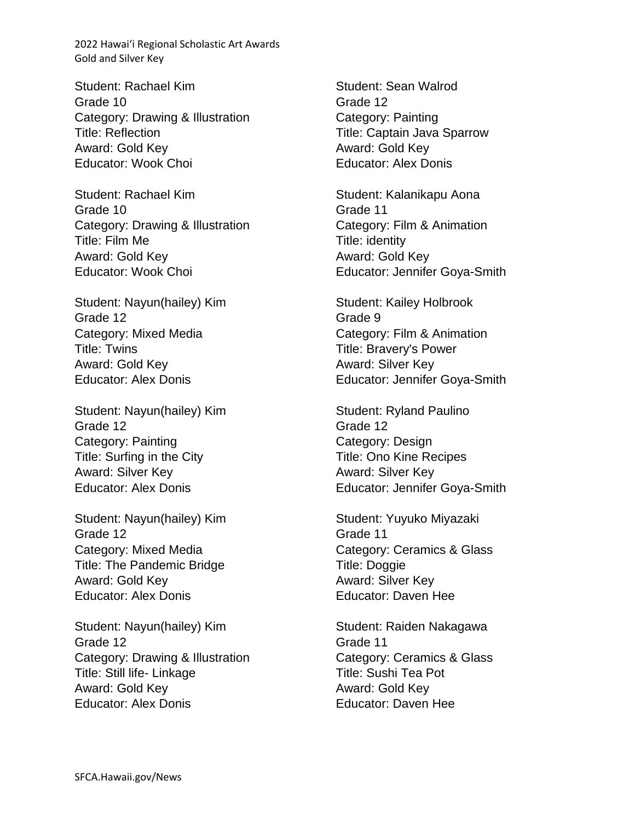Student: Rachael Kim Grade 10 Category: Drawing & Illustration Title: Reflection Award: Gold Key Educator: Wook Choi

Student: Rachael Kim Grade 10 Category: Drawing & Illustration Title: Film Me Award: Gold Key Educator: Wook Choi

Student: Nayun(hailey) Kim Grade 12 Category: Mixed Media Title: Twins Award: Gold Key Educator: Alex Donis

Student: Nayun(hailey) Kim Grade 12 Category: Painting Title: Surfing in the City Award: Silver Key Educator: Alex Donis

Student: Nayun(hailey) Kim Grade 12 Category: Mixed Media Title: The Pandemic Bridge Award: Gold Key Educator: Alex Donis

Student: Nayun(hailey) Kim Grade 12 Category: Drawing & Illustration Title: Still life- Linkage Award: Gold Key Educator: Alex Donis

Student: Sean Walrod Grade 12 Category: Painting Title: Captain Java Sparrow Award: Gold Key Educator: Alex Donis

Student: Kalanikapu Aona Grade 11 Category: Film & Animation Title: identity Award: Gold Key Educator: Jennifer Goya-Smith

Student: Kailey Holbrook Grade 9 Category: Film & Animation Title: Bravery's Power Award: Silver Key Educator: Jennifer Goya-Smith

Student: Ryland Paulino Grade 12 Category: Design Title: Ono Kine Recipes Award: Silver Key Educator: Jennifer Goya-Smith

Student: Yuyuko Miyazaki Grade 11 Category: Ceramics & Glass Title: Doggie Award: Silver Key Educator: Daven Hee

Student: Raiden Nakagawa Grade 11 Category: Ceramics & Glass Title: Sushi Tea Pot Award: Gold Key Educator: Daven Hee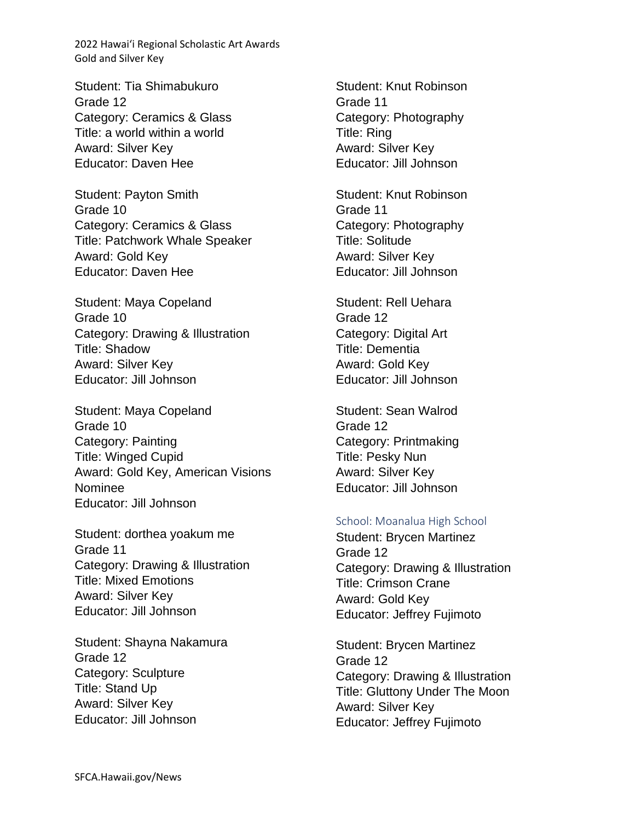Student: Tia Shimabukuro Grade 12 Category: Ceramics & Glass Title: a world within a world Award: Silver Key Educator: Daven Hee

Student: Payton Smith Grade 10 Category: Ceramics & Glass Title: Patchwork Whale Speaker Award: Gold Key Educator: Daven Hee

Student: Maya Copeland Grade 10 Category: Drawing & Illustration Title: Shadow Award: Silver Key Educator: Jill Johnson

Student: Maya Copeland Grade 10 Category: Painting Title: Winged Cupid Award: Gold Key, American Visions Nominee Educator: Jill Johnson

Student: dorthea yoakum me Grade 11 Category: Drawing & Illustration Title: Mixed Emotions Award: Silver Key Educator: Jill Johnson

Student: Shayna Nakamura Grade 12 Category: Sculpture Title: Stand Up Award: Silver Key Educator: Jill Johnson

Student: Knut Robinson Grade 11 Category: Photography Title: Ring Award: Silver Key Educator: Jill Johnson

Student: Knut Robinson Grade 11 Category: Photography Title: Solitude Award: Silver Key Educator: Jill Johnson

Student: Rell Uehara Grade 12 Category: Digital Art Title: Dementia Award: Gold Key Educator: Jill Johnson

Student: Sean Walrod Grade 12 Category: Printmaking Title: Pesky Nun Award: Silver Key Educator: Jill Johnson

### School: Moanalua High School

Student: Brycen Martinez Grade 12 Category: Drawing & Illustration Title: Crimson Crane Award: Gold Key Educator: Jeffrey Fujimoto

Student: Brycen Martinez Grade 12 Category: Drawing & Illustration Title: Gluttony Under The Moon Award: Silver Key Educator: Jeffrey Fujimoto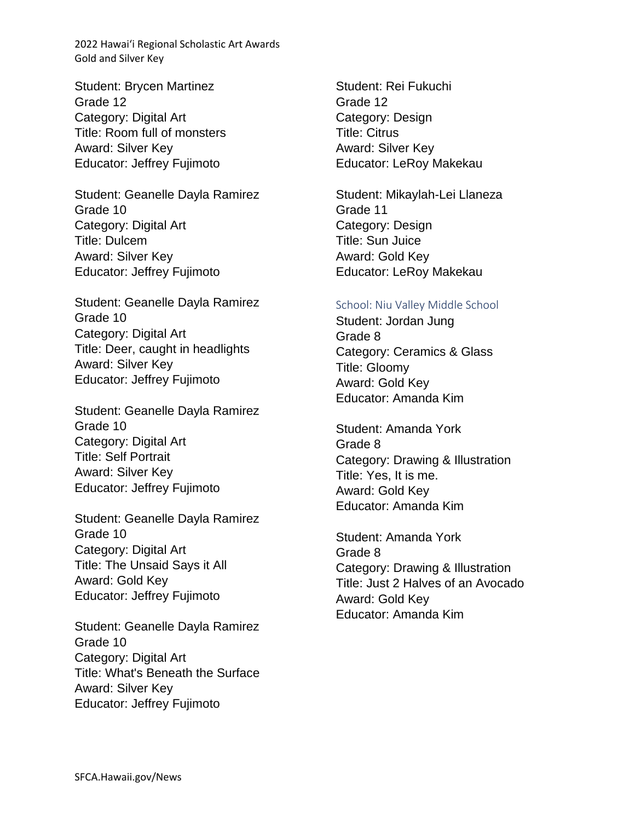Student: Brycen Martinez Grade 12 Category: Digital Art Title: Room full of monsters Award: Silver Key Educator: Jeffrey Fujimoto

Student: Geanelle Dayla Ramirez Grade 10 Category: Digital Art Title: Dulcem Award: Silver Key Educator: Jeffrey Fujimoto

Student: Geanelle Dayla Ramirez Grade 10 Category: Digital Art Title: Deer, caught in headlights Award: Silver Key Educator: Jeffrey Fujimoto

Student: Geanelle Dayla Ramirez Grade 10 Category: Digital Art Title: Self Portrait Award: Silver Key Educator: Jeffrey Fujimoto

Student: Geanelle Dayla Ramirez Grade 10 Category: Digital Art Title: The Unsaid Says it All Award: Gold Key Educator: Jeffrey Fujimoto

Student: Geanelle Dayla Ramirez Grade 10 Category: Digital Art Title: What's Beneath the Surface Award: Silver Key Educator: Jeffrey Fujimoto

Student: Rei Fukuchi Grade 12 Category: Design Title: Citrus Award: Silver Key Educator: LeRoy Makekau

Student: Mikaylah-Lei Llaneza Grade 11 Category: Design Title: Sun Juice Award: Gold Key Educator: LeRoy Makekau

### School: Niu Valley Middle School

Student: Jordan Jung Grade 8 Category: Ceramics & Glass Title: Gloomy Award: Gold Key Educator: Amanda Kim

Student: Amanda York Grade 8 Category: Drawing & Illustration Title: Yes, It is me. Award: Gold Key Educator: Amanda Kim

Student: Amanda York Grade 8 Category: Drawing & Illustration Title: Just 2 Halves of an Avocado Award: Gold Key Educator: Amanda Kim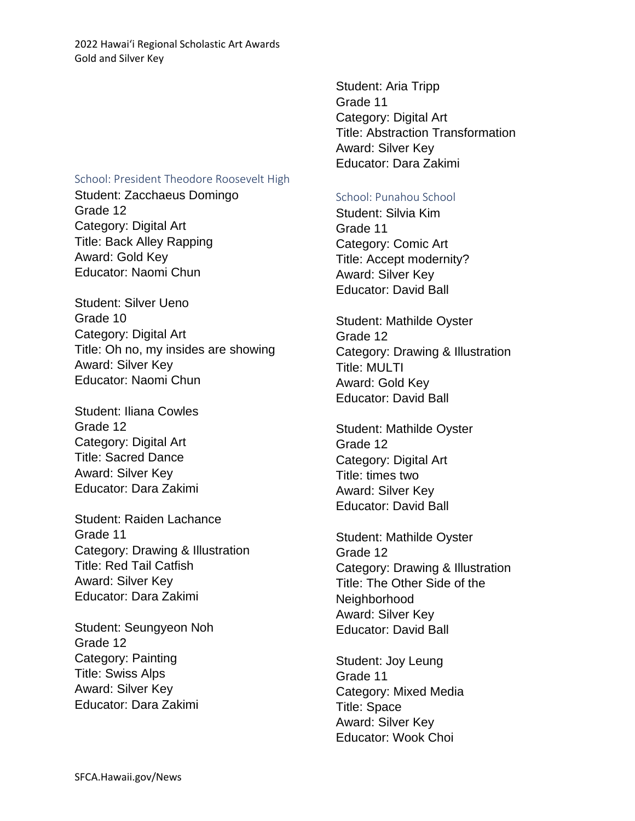### School: President Theodore Roosevelt High

Student: Zacchaeus Domingo Grade 12 Category: Digital Art Title: Back Alley Rapping Award: Gold Key Educator: Naomi Chun

Student: Silver Ueno Grade 10 Category: Digital Art Title: Oh no, my insides are showing Award: Silver Key Educator: Naomi Chun

Student: Iliana Cowles Grade 12 Category: Digital Art Title: Sacred Dance Award: Silver Key Educator: Dara Zakimi

Student: Raiden Lachance Grade 11 Category: Drawing & Illustration Title: Red Tail Catfish Award: Silver Key Educator: Dara Zakimi

Student: Seungyeon Noh Grade 12 Category: Painting Title: Swiss Alps Award: Silver Key Educator: Dara Zakimi

Student: Aria Tripp Grade 11 Category: Digital Art Title: Abstraction Transformation Award: Silver Key Educator: Dara Zakimi

### School: Punahou School

Student: Silvia Kim Grade 11 Category: Comic Art Title: Accept modernity? Award: Silver Key Educator: David Ball

Student: Mathilde Oyster Grade 12 Category: Drawing & Illustration Title: MULTI Award: Gold Key Educator: David Ball

Student: Mathilde Oyster Grade 12 Category: Digital Art Title: times two Award: Silver Key Educator: David Ball

Student: Mathilde Oyster Grade 12 Category: Drawing & Illustration Title: The Other Side of the Neighborhood Award: Silver Key Educator: David Ball

Student: Joy Leung Grade 11 Category: Mixed Media Title: Space Award: Silver Key Educator: Wook Choi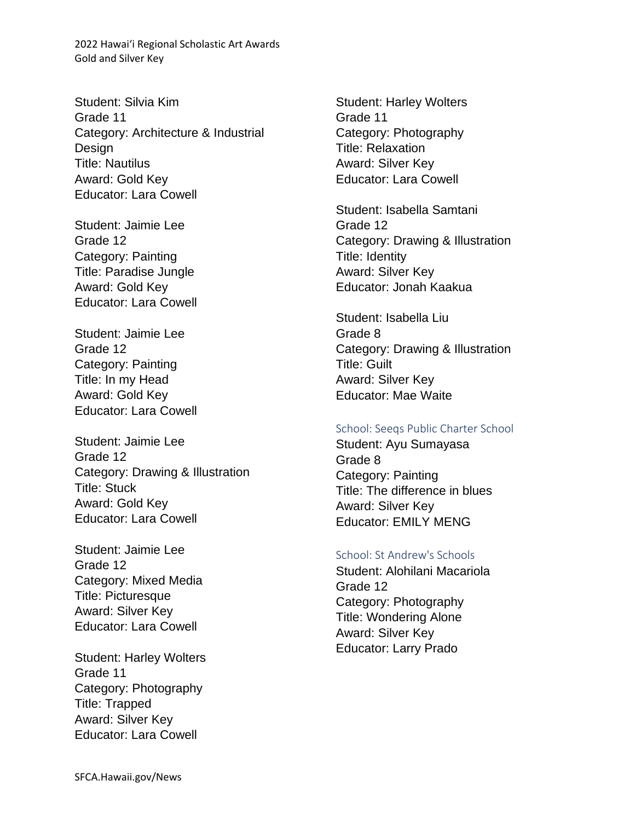Student: Silvia Kim Grade 11 Category: Architecture & Industrial Design Title: Nautilus Award: Gold Key Educator: Lara Cowell

Student: Jaimie Lee Grade 12 Category: Painting Title: Paradise Jungle Award: Gold Key Educator: Lara Cowell

Student: Jaimie Lee Grade 12 Category: Painting Title: In my Head Award: Gold Key Educator: Lara Cowell

Student: Jaimie Lee Grade 12 Category: Drawing & Illustration Title: Stuck Award: Gold Key Educator: Lara Cowell

Student: Jaimie Lee Grade 12 Category: Mixed Media Title: Picturesque Award: Silver Key Educator: Lara Cowell

Student: Harley Wolters Grade 11 Category: Photography Title: Trapped Award: Silver Key Educator: Lara Cowell

Student: Harley Wolters Grade 11 Category: Photography Title: Relaxation Award: Silver Key Educator: Lara Cowell

Student: Isabella Samtani Grade 12 Category: Drawing & Illustration Title: Identity Award: Silver Key Educator: Jonah Kaakua

Student: Isabella Liu Grade 8 Category: Drawing & Illustration Title: Guilt Award: Silver Key Educator: Mae Waite

#### School: Seeqs Public Charter School

Student: Ayu Sumayasa Grade 8 Category: Painting Title: The difference in blues Award: Silver Key Educator: EMILY MENG

### School: St Andrew's Schools

Student: Alohilani Macariola Grade 12 Category: Photography Title: Wondering Alone Award: Silver Key Educator: Larry Prado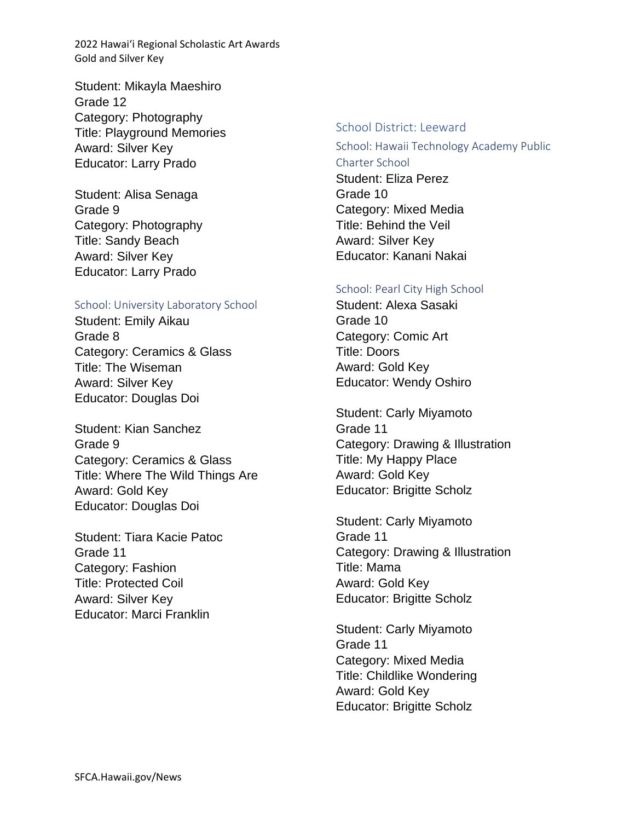Student: Mikayla Maeshiro Grade 12 Category: Photography Title: Playground Memories Award: Silver Key Educator: Larry Prado

Student: Alisa Senaga Grade 9 Category: Photography Title: Sandy Beach Award: Silver Key Educator: Larry Prado

### School: University Laboratory School

Student: Emily Aikau Grade 8 Category: Ceramics & Glass Title: The Wiseman Award: Silver Key Educator: Douglas Doi

Student: Kian Sanchez Grade 9 Category: Ceramics & Glass Title: Where The Wild Things Are Award: Gold Key Educator: Douglas Doi

Student: Tiara Kacie Patoc Grade 11 Category: Fashion Title: Protected Coil Award: Silver Key Educator: Marci Franklin

### School District: Leeward

School: Hawaii Technology Academy Public Charter School Student: Eliza Perez Grade 10 Category: Mixed Media Title: Behind the Veil Award: Silver Key Educator: Kanani Nakai

### School: Pearl City High School

Student: Alexa Sasaki Grade 10 Category: Comic Art Title: Doors Award: Gold Key Educator: Wendy Oshiro

Student: Carly Miyamoto Grade 11 Category: Drawing & Illustration Title: My Happy Place Award: Gold Key Educator: Brigitte Scholz

Student: Carly Miyamoto Grade 11 Category: Drawing & Illustration Title: Mama Award: Gold Key Educator: Brigitte Scholz

Student: Carly Miyamoto Grade 11 Category: Mixed Media Title: Childlike Wondering Award: Gold Key Educator: Brigitte Scholz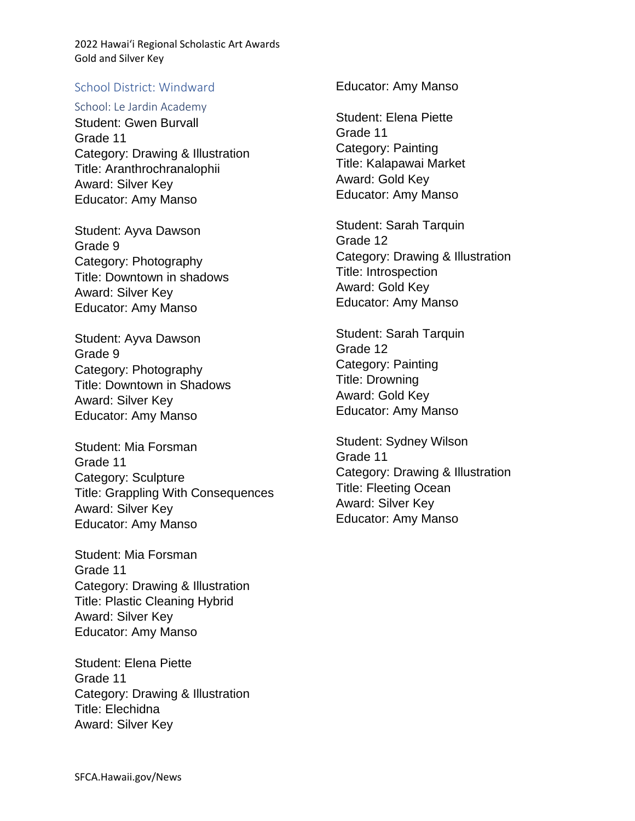### School District: Windward

#### School: Le Jardin Academy

Student: Gwen Burvall Grade 11 Category: Drawing & Illustration Title: Aranthrochranalophii Award: Silver Key Educator: Amy Manso

Student: Ayva Dawson Grade 9 Category: Photography Title: Downtown in shadows Award: Silver Key Educator: Amy Manso

Student: Ayva Dawson Grade 9 Category: Photography Title: Downtown in Shadows Award: Silver Key Educator: Amy Manso

Student: Mia Forsman Grade 11 Category: Sculpture Title: Grappling With Consequences Award: Silver Key Educator: Amy Manso

Student: Mia Forsman Grade 11 Category: Drawing & Illustration Title: Plastic Cleaning Hybrid Award: Silver Key Educator: Amy Manso

Student: Elena Piette Grade 11 Category: Drawing & Illustration Title: Elechidna Award: Silver Key

Educator: Amy Manso

Student: Elena Piette Grade 11 Category: Painting Title: Kalapawai Market Award: Gold Key Educator: Amy Manso

Student: Sarah Tarquin Grade 12 Category: Drawing & Illustration Title: Introspection Award: Gold Key Educator: Amy Manso

Student: Sarah Tarquin Grade 12 Category: Painting Title: Drowning Award: Gold Key Educator: Amy Manso

Student: Sydney Wilson Grade 11 Category: Drawing & Illustration Title: Fleeting Ocean Award: Silver Key Educator: Amy Manso